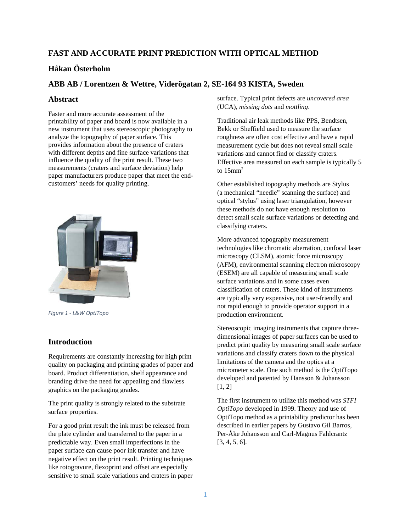# **FAST AND ACCURATE PRINT PREDICTION WITH OPTICAL METHOD**

# **Håkan Österholm**

## **ABB AB / Lorentzen & Wettre, Viderögatan 2, SE-164 93 KISTA, Sweden**

### **Abstract**

Faster and more accurate assessment of the printability of paper and board is now available in a new instrument that uses stereoscopic photography to analyze the topography of paper surface. This provides information about the presence of craters with different depths and fine surface variations that influence the quality of the print result. These two measurements (craters and surface deviation) help paper manufacturers produce paper that meet the endcustomers' needs for quality printing.



*Figure 1 ‐ L&W OptiTopo*

### **Introduction**

Requirements are constantly increasing for high print quality on packaging and printing grades of paper and board. Product differentiation, shelf appearance and branding drive the need for appealing and flawless graphics on the packaging grades.

The print quality is strongly related to the substrate surface properties.

For a good print result the ink must be released from the plate cylinder and transferred to the paper in a predictable way. Even small imperfections in the paper surface can cause poor ink transfer and have negative effect on the print result. Printing techniques like rotogravure, flexoprint and offset are especially sensitive to small scale variations and craters in paper

surface. Typical print defects are *uncovered area* (UCA), *missing dots* and *mottling*.

Traditional air leak methods like PPS, Bendtsen, Bekk or Sheffield used to measure the surface roughness are often cost effective and have a rapid measurement cycle but does not reveal small scale variations and cannot find or classify craters. Effective area measured on each sample is typically 5 to  $15$ mm<sup>2</sup>

Other established topography methods are Stylus (a mechanical "needle" scanning the surface) and optical "stylus" using laser triangulation, however these methods do not have enough resolution to detect small scale surface variations or detecting and classifying craters.

More advanced topography measurement technologies like chromatic aberration, confocal laser microscopy (CLSM), atomic force microscopy (AFM), environmental scanning electron microscopy (ESEM) are all capable of measuring small scale surface variations and in some cases even classification of craters. These kind of instruments are typically very expensive, not user-friendly and not rapid enough to provide operator support in a production environment.

Stereoscopic imaging instruments that capture threedimensional images of paper surfaces can be used to predict print quality by measuring small scale surface variations and classify craters down to the physical limitations of the camera and the optics at a micrometer scale. One such method is the OptiTopo developed and patented by Hansson & Johansson  $[1, 2]$ 

The first instrument to utilize this method was *STFI OptiTopo* developed in 1999. Theory and use of OptiTopo method as a printability predictor has been described in earlier papers by Gustavo Gil Barros, Per-Åke Johansson and Carl-Magnus Fahlcrantz [3, 4, 5, 6].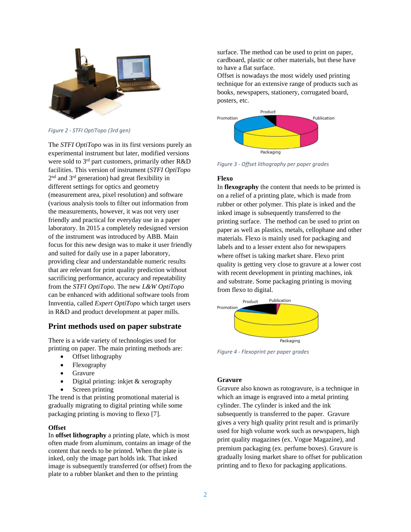

*Figure 2 ‐ STFI OptiTopo (3rd gen)*

The *STFI OptiTopo* was in its first versions purely an experimental instrument but later, modified versions were sold to 3rd part customers, primarily other R&D facilities. This version of instrument (*STFI OptiTopo*  $2<sup>nd</sup>$  and  $3<sup>rd</sup>$  generation) had great flexibility in different settings for optics and geometry (measurement area, pixel resolution) and software (various analysis tools to filter out information from the measurements, however, it was not very user friendly and practical for everyday use in a paper laboratory. In 2015 a completely redesigned version of the instrument was introduced by ABB. Main focus for this new design was to make it user friendly and suited for daily use in a paper laboratory, providing clear and understandable numeric results that are relevant for print quality prediction without sacrificing performance, accuracy and repeatability from the *STFI OptiTopo*. The new *L&W OptiTopo* can be enhanced with additional software tools from Innventia, called *Expert OptiTopo* which target users in R&D and product development at paper mills.

## **Print methods used on paper substrate**

There is a wide variety of technologies used for printing on paper. The main printing methods are:

- Offset lithography
- Flexography
- Gravure
- Digital printing: inkjet & xerography
- Screen printing

The trend is that printing promotional material is gradually migrating to digital printing while some packaging printing is moving to flexo [7].

#### **Offset**

In **offset lithography** a printing plate, which is most often made from aluminum, contains an image of the content that needs to be printed. When the plate is inked, only the image part holds ink. That inked image is subsequently transferred (or offset) from the plate to a rubber blanket and then to the printing

surface. The method can be used to print on paper, cardboard, plastic or other materials, but these have to have a flat surface.

Offset is nowadays the most widely used printing technique for an extensive range of products such as books, newspapers, stationery, corrugated board, posters, etc.



*Figure 3 ‐ Offset lithography per paper grades*

#### **Flexo**

In **flexography** the content that needs to be printed is on a relief of a printing plate, which is made from rubber or other polymer. This plate is inked and the inked image is subsequently transferred to the printing surface. The method can be used to print on paper as well as plastics, metals, cellophane and other materials. Flexo is mainly used for packaging and labels and to a lesser extent also for newspapers where offset is taking market share. Flexo print quality is getting very close to gravure at a lower cost with recent development in printing machines, ink and substrate. Some packaging printing is moving from flexo to digital.



*Figure 4 ‐ Flexoprint per paper grades*

### **Gravure**

Gravure also known as rotogravure, is a technique in which an image is engraved into a metal printing cylinder. The cylinder is inked and the ink subsequently is transferred to the paper. Gravure gives a very high quality print result and is primarily used for high volume work such as newspapers, high print quality magazines (ex. Vogue Magazine), and premium packaging (ex. perfume boxes). Gravure is gradually losing market share to offset for publication printing and to flexo for packaging applications.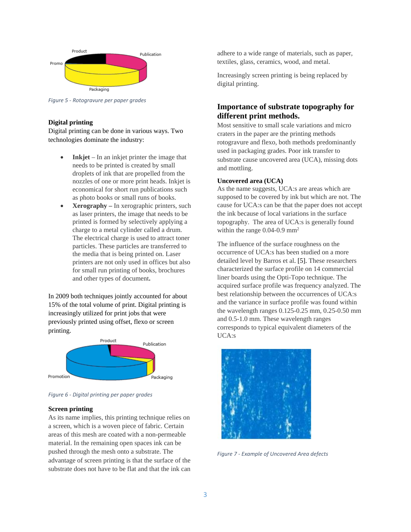

*Figure 5 ‐ Rotogravure per paper grades*

### **Digital printing**

Digital printing can be done in various ways. Two technologies dominate the industry:

- **Inkjet** In an inkjet printer the image that needs to be printed is created by small droplets of ink that are propelled from the nozzles of one or more print heads. Inkjet is economical for short run publications such as photo books or small runs of books.
- **Xerography** In xerographic printers, such as laser printers, the image that needs to be printed is formed by selectively applying a charge to a metal cylinder called a drum. The electrical charge is used to attract toner particles. These particles are transferred to the media that is being printed on. Laser printers are not only used in offices but also for small run printing of books, brochures and other types of document**.**

In 2009 both techniques jointly accounted for about 15% of the total volume of print. Digital printing is increasingly utilized for print jobs that were previously printed using offset, flexo or screen printing.



*Figure 6 ‐ Digital printing per paper grades*

#### **Screen printing**

As its name implies, this printing technique relies on a screen, which is a woven piece of fabric. Certain areas of this mesh are coated with a non-permeable material. In the remaining open spaces ink can be pushed through the mesh onto a substrate. The advantage of screen printing is that the surface of the substrate does not have to be flat and that the ink can adhere to a wide range of materials, such as paper, textiles, glass, ceramics, wood, and metal.

Increasingly screen printing is being replaced by digital printing.

## **Importance of substrate topography for different print methods.**

Most sensitive to small scale variations and micro craters in the paper are the printing methods rotogravure and flexo, both methods predominantly used in packaging grades. Poor ink transfer to substrate cause uncovered area (UCA), missing dots and mottling.

### **Uncovered area (UCA)**

As the name suggests, UCA:s are areas which are supposed to be covered by ink but which are not. The cause for UCA:s can be that the paper does not accept the ink because of local variations in the surface topography. The area of UCA:s is generally found within the range 0.04-0.9 mm<sup>2</sup>

The influence of the surface roughness on the occurrence of UCA:s has been studied on a more detailed level by Barros et al. [5]. These researchers characterized the surface profile on 14 commercial liner boards using the Opti-Topo technique. The acquired surface profile was frequency analyzed. The best relationship between the occurrences of UCA:s and the variance in surface profile was found within the wavelength ranges 0.125-0.25 mm, 0.25-0.50 mm and 0.5-1.0 mm. These wavelength ranges corresponds to typical equivalent diameters of the UCA:s



*Figure 7 ‐ Example of Uncovered Area defects*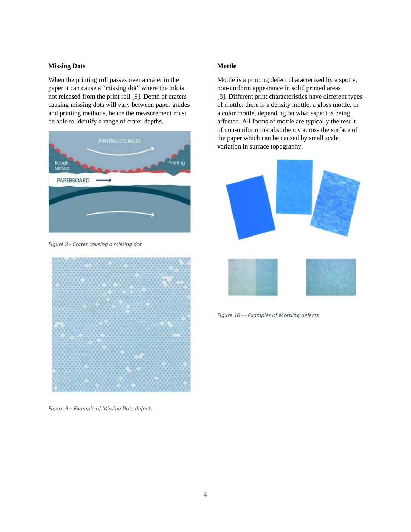### **Missing Dots**

When the printing roll passes over a crater in the paper it can cause a "missing dot" where the ink is not released from the print roll [9]. Depth of craters causing missing dots will vary between paper grades and printing methods, hence the measurement must be able to identify a range of crater depths.



*Figure 8 ‐ Crater causing a missing dot*



*Figure 9 – Example of Missing Dots defects*

## **Mottle**

Mottle is a printing defect characterized by a spotty, non-uniform appearance in solid printed areas [8]. Different print characteristics have different types of mottle: there is a density mottle, a gloss mottle, or a color mottle, depending on what aspect is being affected. All forms of mottle are typically the result of non-uniform ink absorbency across the surface of the paper which can be caused by small scale variation in surface topography.



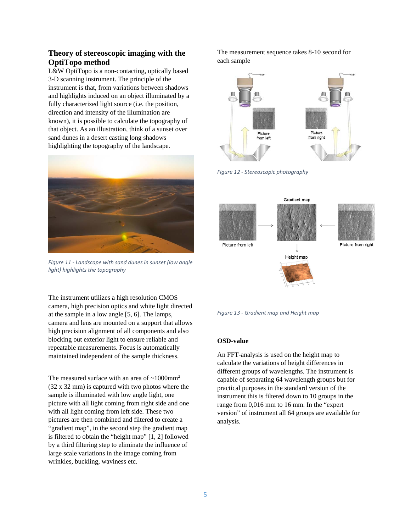## **Theory of stereoscopic imaging with the OptiTopo method**

L&W OptiTopo is a non-contacting, optically based 3-D scanning instrument. The principle of the instrument is that, from variations between shadows and highlights induced on an object illuminated by a fully characterized light source (i.e. the position, direction and intensity of the illumination are known), it is possible to calculate the topography of that object. As an illustration, think of a sunset over sand dunes in a desert casting long shadows highlighting the topography of the landscape.



*Figure 11 ‐ Landscape with sand dunes in sunset (low angle light) highlights the topography*

The instrument utilizes a high resolution CMOS camera, high precision optics and white light directed at the sample in a low angle [5, 6]. The lamps, camera and lens are mounted on a support that allows high precision alignment of all components and also blocking out exterior light to ensure reliable and repeatable measurements. Focus is automatically maintained independent of the sample thickness.

The measured surface with an area of  $\sim 1000$ mm<sup>2</sup> (32 x 32 mm) is captured with two photos where the sample is illuminated with low angle light, one picture with all light coming from right side and one with all light coming from left side. These two pictures are then combined and filtered to create a "gradient map", in the second step the gradient map is filtered to obtain the "height map" [1, 2] followed by a third filtering step to eliminate the influence of large scale variations in the image coming from wrinkles, buckling, waviness etc.

The measurement sequence takes 8-10 second for each sample



*Figure 12 ‐ Stereoscopic photography* 





#### **OSD-value**

An FFT-analysis is used on the height map to calculate the variations of height differences in different groups of wavelengths. The instrument is capable of separating 64 wavelength groups but for practical purposes in the standard version of the instrument this is filtered down to 10 groups in the range from 0,016 mm to 16 mm. In the "expert version" of instrument all 64 groups are available for analysis.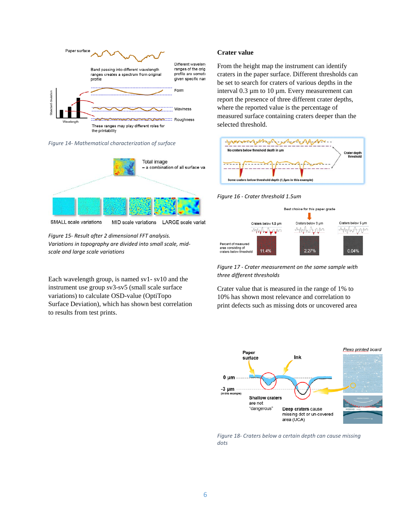

*Figure 14‐ Mathematical characterization of surface* 



SMALL scale variations MID scale variations LARGE scale variat

*Figure 15‐ Result after 2 dimensional FFT analysis. Variations in topography are divided into small scale, mid‐ scale and large scale variations*

Each wavelength group, is named sv1- sv10 and the instrument use group sv3-sv5 (small scale surface variations) to calculate OSD-value (OptiTopo Surface Deviation), which has shown best correlation to results from test prints.

#### **Crater value**

From the height map the instrument can identify craters in the paper surface. Different thresholds can be set to search for craters of various depths in the interval 0.3 µm to 10 µm. Every measurement can report the presence of three different crater depths, where the reported value is the percentage of measured surface containing craters deeper than the selected threshold.



*Figure 16 ‐ Crater threshold 1.5um* 



*Figure 17 ‐ Crater measurement on the same sample with three different thresholds*

Crater value that is measured in the range of 1% to 10% has shown most relevance and correlation to print defects such as missing dots or uncovered area



*Figure 18‐ Craters below a certain depth can cause missing dots*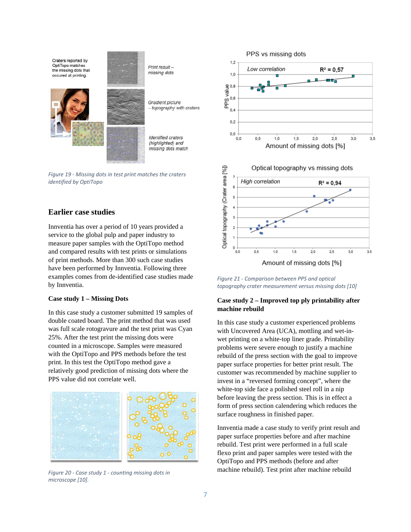

*Figure 19 ‐ Missing dots in test print matches the craters identified by OptiTopo*

## **Earlier case studies**

Innventia has over a period of 10 years provided a service to the global pulp and paper industry to measure paper samples with the OptiTopo method and compared results with test prints or simulations of print methods. More than 300 such case studies have been performed by Innventia. Following three examples comes from de-identified case studies made by Innventia.

### **Case study 1 – Missing Dots**

In this case study a customer submitted 19 samples of double coated board. The print method that was used was full scale rotogravure and the test print was Cyan 25%. After the test print the missing dots were counted in a microscope. Samples were measured with the OptiTopo and PPS methods before the test print. In this test the OptiTopo method gave a relatively good prediction of missing dots where the PPS value did not correlate well.



*Figure 20 ‐ Case study 1 ‐ counting missing dots in microscope [10].*



*Figure 21 ‐ Comparison between PPS and optical topography crater measurement versus missing dots [10]*

### **Case study 2 – Improved top ply printability after machine rebuild**

In this case study a customer experienced problems with Uncovered Area (UCA), mottling and wet-inwet printing on a white-top liner grade. Printability problems were severe enough to justify a machine rebuild of the press section with the goal to improve paper surface properties for better print result. The customer was recommended by machine supplier to invest in a "reversed forming concept", where the white-top side face a polished steel roll in a nip before leaving the press section. This is in effect a form of press section calendering which reduces the surface roughness in finished paper.

Innventia made a case study to verify print result and paper surface properties before and after machine rebuild. Test print were performed in a full scale flexo print and paper samples were tested with the OptiTopo and PPS methods (before and after machine rebuild). Test print after machine rebuild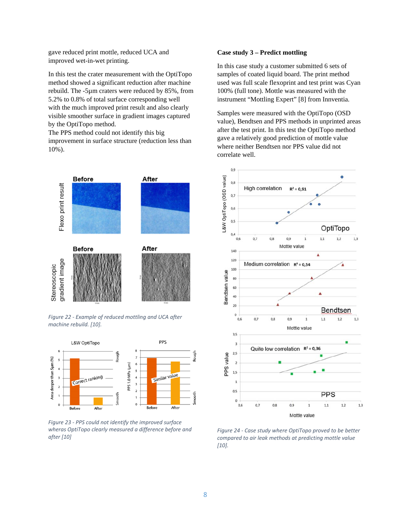gave reduced print mottle, reduced UCA and improved wet-in-wet printing.

In this test the crater measurement with the OptiTopo method showed a significant reduction after machine rebuild. The -5µm craters were reduced by 85%, from 5.2% to 0.8% of total surface corresponding well with the much improved print result and also clearly visible smoother surface in gradient images captured by the OptiTopo method.

The PPS method could not identify this big improvement in surface structure (reduction less than 10%).



*Figure 22 ‐ Example of reduced mottling and UCA after machine rebuild. [10].*



*Figure 23 ‐ PPS could not identify the improved surface wheras OptiTopo clearly measured a difference before and after [10]*

### **Case study 3 – Predict mottling**

In this case study a customer submitted 6 sets of samples of coated liquid board. The print method used was full scale flexoprint and test print was Cyan 100% (full tone). Mottle was measured with the instrument "Mottling Expert" [8] from Innventia.

Samples were measured with the OptiTopo (OSD value), Bendtsen and PPS methods in unprinted areas after the test print. In this test the OptiTopo method gave a relatively good prediction of mottle value where neither Bendtsen nor PPS value did not correlate well.



*Figure 24 ‐ Case study where OptiTopo proved to be better compared to air leak methods at predicting mottle value [10].*